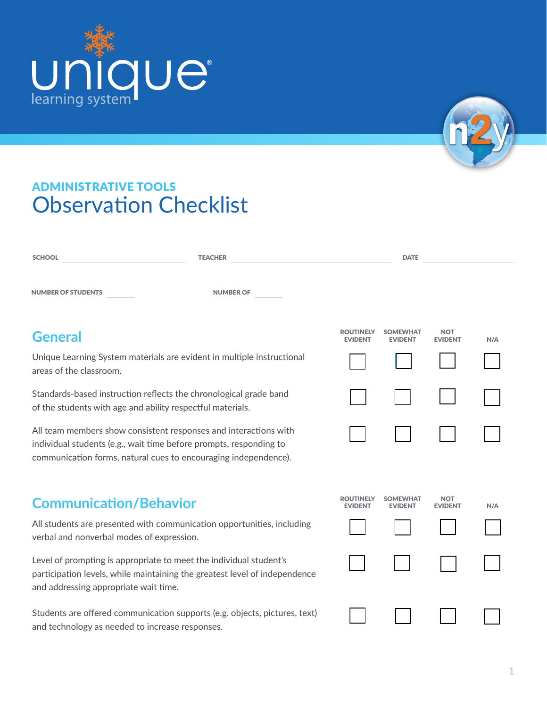



# ADMINISTRATIVE TOOLS Observation Checklist

and technology as needed to increase responses.

| <b>SCHOOL</b>                                              | <b>TEACHER</b>                                                                                                                                                                                            |                             | <b>DATE</b>                       |                              |     |
|------------------------------------------------------------|-----------------------------------------------------------------------------------------------------------------------------------------------------------------------------------------------------------|-----------------------------|-----------------------------------|------------------------------|-----|
| <b>NUMBER OF STUDENTS</b>                                  | <b>NUMBER OF</b>                                                                                                                                                                                          |                             |                                   |                              |     |
| <b>General</b>                                             |                                                                                                                                                                                                           | ROUTINELY<br><b>EVIDENT</b> | <b>SOMEWHAT</b><br><b>EVIDENT</b> | NOT<br><b>EVIDENT</b>        | N/A |
| areas of the classroom.                                    | Unique Learning System materials are evident in multiple instructional                                                                                                                                    |                             |                                   |                              |     |
| of the students with age and ability respectful materials. | Standards-based instruction reflects the chronological grade band                                                                                                                                         |                             |                                   |                              |     |
|                                                            | All team members show consistent responses and interactions with<br>individual students (e.g., wait time before prompts, responding to<br>communication forms, natural cues to encouraging independence). |                             |                                   |                              |     |
| <b>Communication/Behavior</b>                              |                                                                                                                                                                                                           | ROUTINELY<br><b>EVIDENT</b> | <b>SOMEWHAT</b><br><b>EVIDENT</b> | <b>NOT</b><br><b>EVIDENT</b> | N/A |
| verbal and nonverbal modes of expression.                  | All students are presented with communication opportunities, including                                                                                                                                    |                             |                                   |                              |     |
| and addressing appropriate wait time.                      | Level of prompting is appropriate to meet the individual student's<br>participation levels, while maintaining the greatest level of independence                                                          |                             |                                   |                              |     |
|                                                            | Students are offered communication supports (e.g. objects, pictures, text)                                                                                                                                |                             |                                   |                              |     |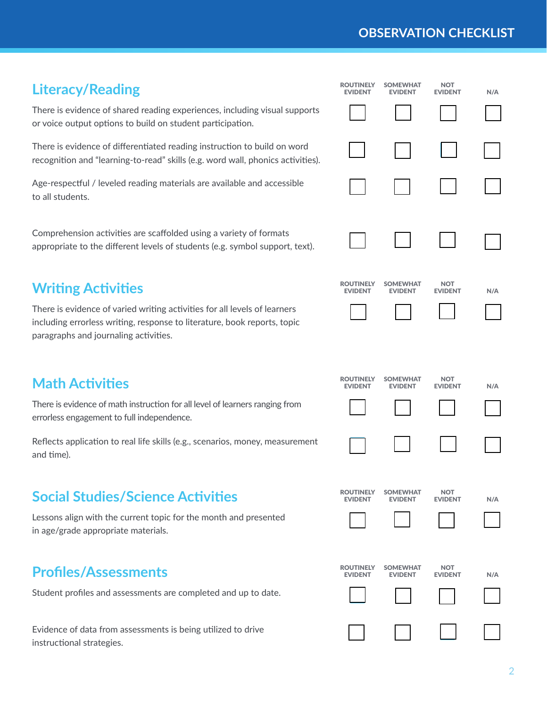#### **OBSERVATION CHECKLIST**

## **Literacy/Reading**

There is evidence of shared reading experiences, including visual supports or voice output options to build on student participation.

There is evidence of differentiated reading instruction to build on word recognition and "learning-to-read" skills (e.g. word wall, phonics activities).

Age-respectful / leveled reading materials are available and accessible to all students.

Comprehension activities are scaffolded using a variety of formats appropriate to the different levels of students (e.g. symbol support, text).

#### **Writing Activities**

There is evidence of varied writing activities for all levels of learners including errorless writing, response to literature, book reports, topic paragraphs and journaling activities.

### **Math Activities**

There is evidence of math instruction for all level of learners ranging from errorless engagement to full independence.

Reflects application to real life skills (e.g., scenarios, money, measurement and time).

### **Social Studies/Science Activities**

Lessons align with the current topic for the month and presented in age/grade appropriate materials.

### **Profiles/Assessments**

Student profiles and assessments are completed and up to date.

Evidence of data from assessments is being utilized to drive instructional strategies.

| <b>ROUTINELY</b><br><b>EVIDENT</b> | <b>SOMEWHAT</b><br><b>EVIDENT</b>    | <b>TON</b><br><b>EVIDENT</b> | N/A |
|------------------------------------|--------------------------------------|------------------------------|-----|
|                                    |                                      |                              |     |
|                                    |                                      |                              |     |
|                                    |                                      |                              |     |
|                                    |                                      |                              |     |
| <b>ROUTINELY</b><br><b>EVIDENT</b> | <b>SOMEWHAT</b><br><b>EVIDENT</b>    | <b>TON</b><br><b>EVIDENT</b> | N/A |
|                                    |                                      |                              |     |
| <b>ROUTINELY</b><br><b>EVIDENT</b> | <b>SOMEWHAT</b><br><b>EVIDENT</b>    | NOT<br><b>EVIDENT</b>        | N/A |
|                                    |                                      |                              |     |
| <b>EVIDENT</b>                     | ROUTINELY SOMEWHAT<br><b>EVIDENT</b> | <b>NOT</b><br><b>EVIDENT</b> | N/A |
| <b>EVIDENT</b>                     | ROUTINELY SOMEWHAT<br><b>EVIDENT</b> | <b>NOT</b><br><b>EVIDENT</b> | N/A |